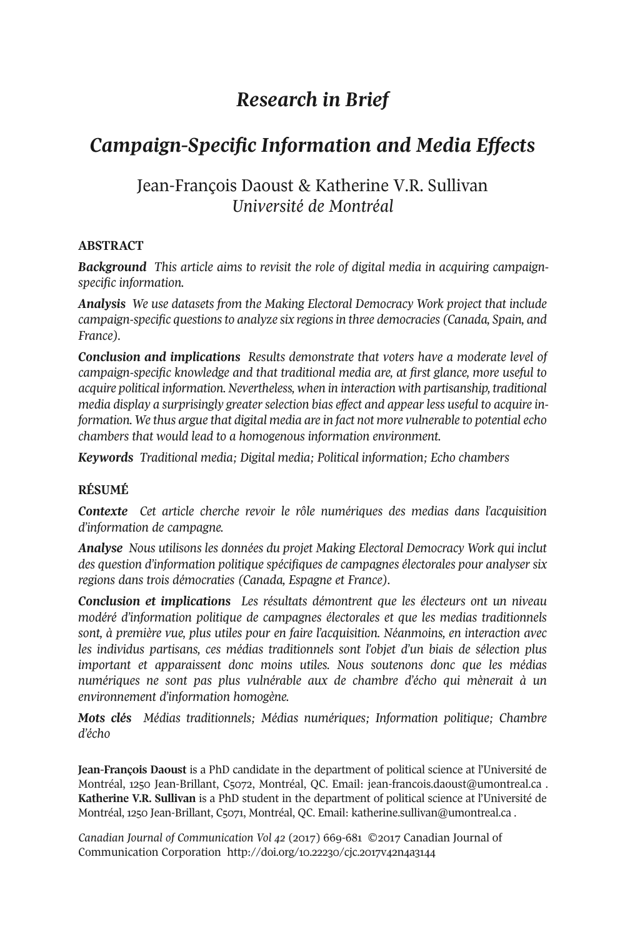# *Research in Brief*

## *Campaign-Specific Information and Media Effects*

## Jean-François Daoust & Katherine V.R. Sullivan *Université de Montréal*

## **ABSTRACT**

*Background This article aims to revisit the role of digital media in acquiring campaignspecific information.*

*Analysis We use datasets from the Making Electoral Democracy Work project that include campaign-specific questionsto analyze six regionsin three democracies (Canada, Spain, and France).*

*Conclusion and implications Results demonstrate that voters have a moderate level of campaign-specific knowledge and that traditional media are, at first glance, more useful to acquire political information. Nevertheless, when in interaction with partisanship, traditional media display a surprisingly greaterselection bias effect and appear less useful to acquire information. We thus argue that digital media are in fact not more vulnerable to potential echo chambers that would lead to a homogenous information environment.*

*Keywords Traditional media; Digital media; Political information; Echo chambers*

## **RÉSUMÉ**

*Contexte Cet article cherche revoir le rôle numériques des medias dans l'acquisition d'information de campagne.*

*Analyse Nous utilisons les données du projet Making Electoral Democracy Work qui inclut des question d'information politique spécifiques de campagnes électorales pour analyser six regions dans trois démocraties (Canada, Espagne et France).*

*Conclusion et implications Les résultats démontrent que les électeurs ont un niveau modéré d'information politique de campagnes électorales et que les medias traditionnels sont, à première vue, plus utiles pour en faire l'acquisition. Néanmoins, en interaction avec les individus partisans, ces médias traditionnels sont l'objet d'un biais de sélection plus important et apparaissent donc moins utiles. Nous soutenons donc que les médias numériques ne sont pas plus vulnérable aux de chambre d'écho qui mènerait à un environnement d'information homogène.*

*Mots clés Médias traditionnels; Médias numériques; Information politique; Chambre d'écho*

**Jean-François Daoust** is a PhD candidate in the department of political science at l'Université de Montréal, 1250 Jean-Brillant, C5072, Montréal, QC. Email: [jean-francois.daoust@umontreal.ca](mailto:jean-francois.daoust@umontreal.ca) . **Katherine V.R. Sullivan** is a PhD student in the department of political science at l'Université de Montréal, 1250 Jean-Brillant, C5071, Montréal, QC. Email: [katherine.sullivan@umontreal.ca](mailto:katherine.sullivan@umontreal.ca) .

*Canadian Journal of [Communication](http://www.cjc-online.ca) Vol 42* (2017) 669-681 ©2017 Canadian Journal of Communication Corporation <http://doi.org/10.22230/cjc.2017v42n4a3144>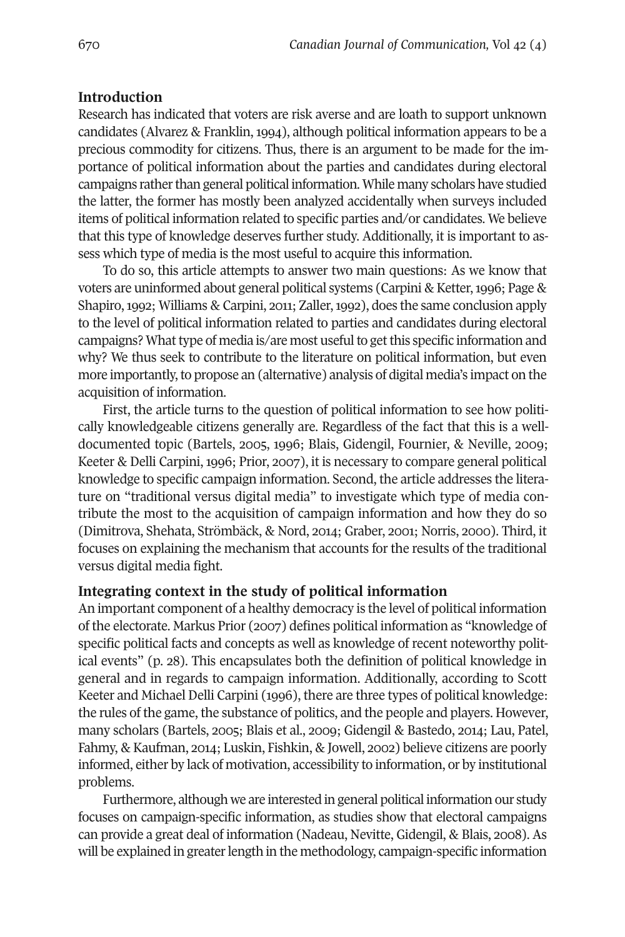## **Introduction**

Research has indicated that voters are risk averse and are loath to support unknown candidates (Alvarez & Franklin, 1994), although political information appears to be a precious commodity for citizens. Thus, there is an argument to be made for the importance of political information about the parties and candidates during electoral campaigns rather than general political information. While many scholars have studied the latter, the former has mostly been analyzed accidentally when surveys included items of political information related to specific parties and/or candidates. We believe that this type of knowledge deserves further study. Additionally, it is important to assess which type of media is the most useful to acquire this information.

To do so, this article attempts to answer two main questions: As we know that voters are uninformed about general political systems (Carpini & Ketter, 1996; Page & Shapiro,1992; Williams & Carpini, 2011; Zaller,1992), does the same conclusion apply to the level of political information related to parties and candidates during electoral campaigns? What type of media is/are most useful to get this specific information and why? We thus seek to contribute to the literature on political information, but even more importantly, to propose an (alternative) analysis of digital media's impact on the acquisition of information.

First, the article turns to the question of political information to see how politically knowledgeable citizens generally are. Regardless of the fact that this is a welldocumented topic (Bartels, 2005, 1996; Blais, Gidengil, Fournier, & Neville, 2009; Keeter & Delli Carpini, 1996; Prior, 2007), it is necessary to compare general political knowledge to specific campaign information. Second, the article addresses the literature on "traditional versus digital media" to investigate which type of media contribute the most to the acquisition of campaign information and how they do so (Dimitrova, Shehata, Strömbäck, & Nord, 2014; Graber, 2001; Norris, 2000). Third, it focuses on explaining the mechanism that accounts for the results of the traditional versus digital media fight.

## **Integrating context in the study of political information**

An important component of a healthy democracy is the level of political information of the electorate. Markus Prior (2007) defines political information as "knowledge of specific political facts and concepts as well as knowledge of recent noteworthy political events" (p. 28). This encapsulates both the definition of political knowledge in general and in regards to campaign information. Additionally, according to Scott Keeter and Michael Delli Carpini (1996), there are three types of political knowledge: the rules of the game, the substance of politics, and the people and players. However, many scholars (Bartels, 2005; Blais et al., 2009; Gidengil & Bastedo, 2014; Lau, Patel, Fahmy, & Kaufman, 2014; Luskin, Fishkin, & Jowell, 2002) believe citizens are poorly informed, either by lack of motivation, accessibility to information, or by institutional problems.

Furthermore, although we are interested in general political information our study focuses on campaign-specific information, as studies show that electoral campaigns can provide a great deal of information (Nadeau, Nevitte, Gidengil, & Blais, 2008). As will be explained in greater length in the methodology, campaign-specific information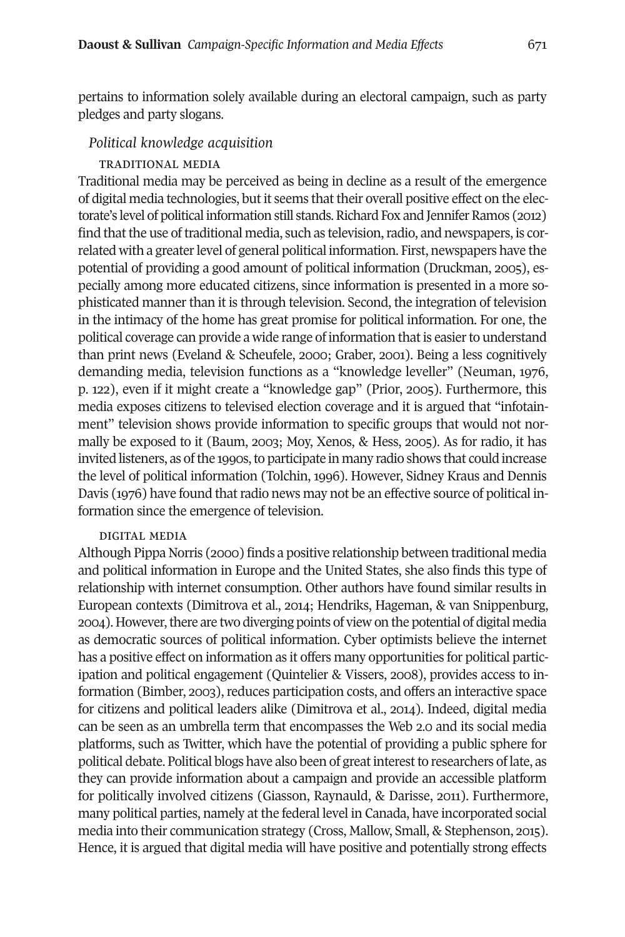pertains to information solely available during an electoral campaign, such as party pledges and party slogans.

#### *Political knowledge acquisition*

#### TradiTional media

Traditional media may be perceived as being in decline as a result of the emergence of digital media technologies, but it seems that their overall positive effect on the electorate's level of political information still stands. Richard Fox and Jennifer Ramos (2012) find that the use of traditional media, such as television, radio, and newspapers, is correlated with a greaterlevel of general political information. First, newspapers have the potential of providing a good amount of political information (Druckman, 2005), especially among more educated citizens, since information is presented in a more sophisticated manner than it is through television. Second, the integration of television in the intimacy of the home has great promise for political information. For one, the political coverage can provide a wide range of information thatis easierto understand than print news (Eveland & Scheufele, 2000; Graber, 2001). Being a less cognitively demanding media, television functions as a "knowledge leveller" (Neuman, 1976, p. 122), even if it might create a "knowledge gap" (Prior, 2005). Furthermore, this media exposes citizens to televised election coverage and it is argued that "infotainment" television shows provide information to specific groups that would not normally be exposed to it (Baum, 2003; Moy, Xenos, & Hess, 2005). As for radio, it has invited listeners, as of the 1990s, to participate in many radio shows that could increase the level of political information (Tolchin, 1996). However, Sidney Kraus and Dennis Davis (1976) have found that radio news may not be an effective source of political information since the emergence of television.

#### digiTal media

Although Pippa Norris (2000) finds a positive relationship between traditional media and political information in Europe and the United States, she also finds this type of relationship with internet consumption. Other authors have found similar results in European contexts (Dimitrova et al., 2014; Hendriks, Hageman, & van Snippenburg, 2004). However, there are two diverging points of view on the potential of digital media as democratic sources of political information. Cyber optimists believe the internet has a positive effect on information as it offers many opportunities for political participation and political engagement (Quintelier & Vissers, 2008), provides access to information (Bimber, 2003), reduces participation costs, and offers an interactive space for citizens and political leaders alike (Dimitrova et al., 2014). Indeed, digital media can be seen as an umbrella term that encompasses the Web 2.0 and its social media platforms, such as Twitter, which have the potential of providing a public sphere for political debate. Political blogs have also been of great interest to researchers of late, as they can provide information about a campaign and provide an accessible platform for politically involved citizens (Giasson, Raynauld, & Darisse, 2011). Furthermore, many political parties, namely at the federal level in Canada, have incorporated social media into their communication strategy (Cross, Mallow, Small, & Stephenson, 2015). Hence, it is argued that digital media will have positive and potentially strong effects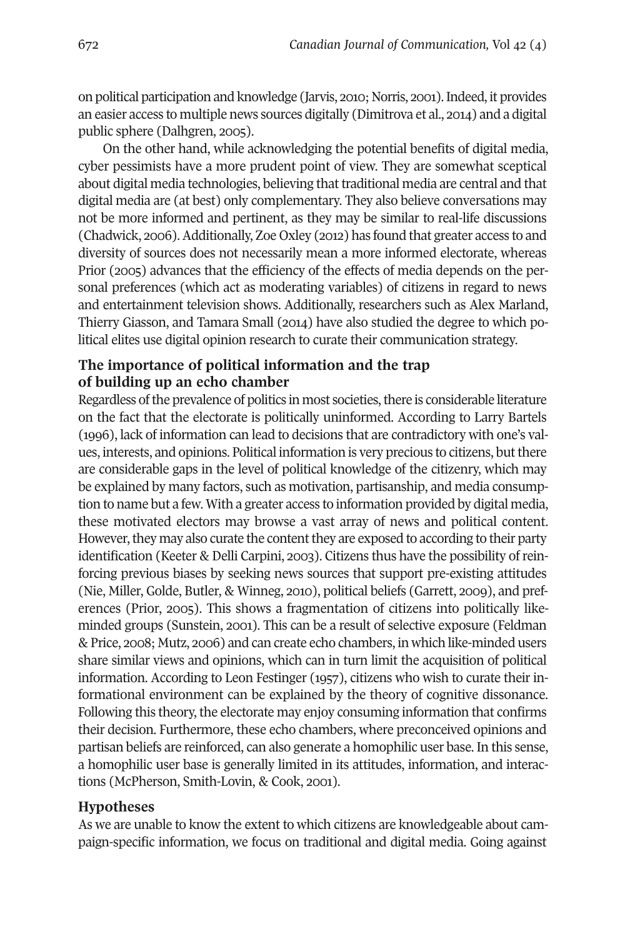on political participation and knowledge (Jarvis, 2010; Norris, 2001).Indeed, it provides an easier access to multiple news sources digitally (Dimitrova et al., 2014) and a digital public sphere (Dalhgren, 2005).

On the other hand, while acknowledging the potential benefits of digital media, cyber pessimists have a more prudent point of view. They are somewhat sceptical about digital media technologies, believing that traditional media are central and that digital media are (at best) only complementary. They also believe conversations may not be more informed and pertinent, as they may be similar to real-life discussions (Chadwick, 2006).Additionally, Zoe Oxley (2012) has found that greater access to and diversity of sources does not necessarily mean a more informed electorate, whereas Prior (2005) advances that the efficiency of the effects of media depends on the personal preferences (which act as moderating variables) of citizens in regard to news and entertainment television shows. Additionally, researchers such as Alex Marland, Thierry Giasson, and Tamara Small (2014) have also studied the degree to which political elites use digital opinion research to curate their communication strategy.

## **The importance of political information and the trap of building up an echo chamber**

Regardless of the prevalence of politics in most societies, there is considerable literature on the fact that the electorate is politically uninformed. According to Larry Bartels (1996), lack of information can lead to decisions that are contradictory with one's values, interests, and opinions. Political information is very precious to citizens, butthere are considerable gaps in the level of political knowledge of the citizenry, which may be explained by many factors, such as motivation, partisanship, and media consumption to name but a few. With a greater access to information provided by digital media, these motivated electors may browse a vast array of news and political content. However, they may also curate the content they are exposed to according to their party identification (Keeter & Delli Carpini, 2003). Citizens thus have the possibility ofreinforcing previous biases by seeking news sources that support pre-existing attitudes (Nie, Miller, Golde, Butler, & Winneg, 2010), political beliefs (Garrett, 2009), and preferences (Prior, 2005). This shows a fragmentation of citizens into politically likeminded groups (Sunstein, 2001). This can be a result of selective exposure (Feldman & Price, 2008; Mutz, 2006) and can create echo chambers, in which like-minded users share similar views and opinions, which can in turn limit the acquisition of political information. According to Leon Festinger (1957), citizens who wish to curate their informational environment can be explained by the theory of cognitive dissonance. Following this theory, the electorate may enjoy consuming information that confirms their decision. Furthermore, these echo chambers, where preconceived opinions and partisan beliefs are reinforced, can also generate a homophilic user base. In this sense, a homophilic user base is generally limited in its attitudes, information, and interactions (McPherson, Smith-Lovin, & Cook, 2001).

## **Hypotheses**

As we are unable to know the extent to which citizens are knowledgeable about campaign-specific information, we focus on traditional and digital media. Going against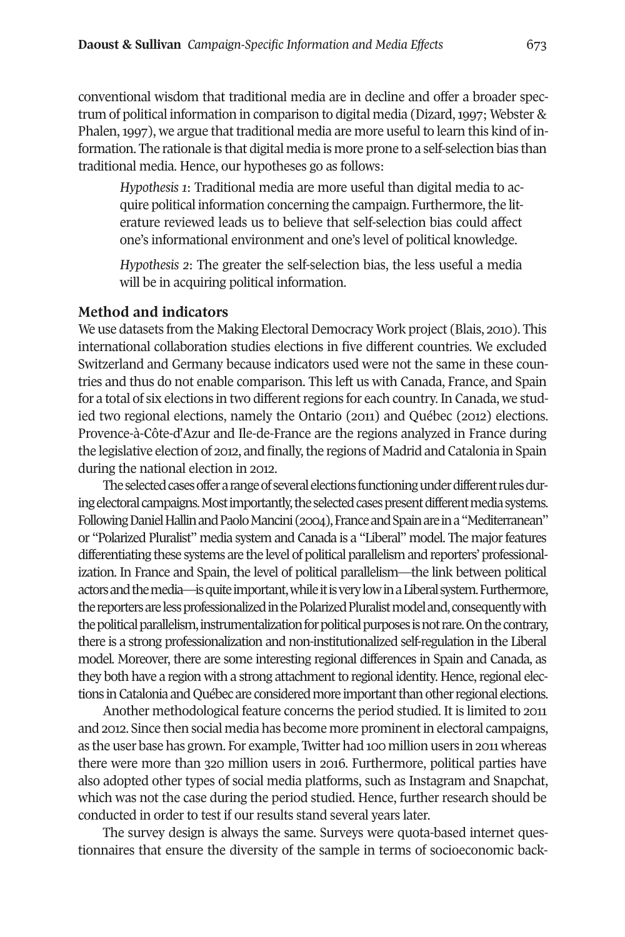conventional wisdom that traditional media are in decline and offer a broader spectrum of political information in comparison to digital media (Dizard,1997; Webster & Phalen, 1997), we argue that traditional media are more useful to learn this kind of information. The rationale is that digital media is more prone to a self-selection bias than traditional media. Hence, our hypotheses go as follows:

*Hypothesis 1*: Traditional media are more useful than digital media to acquire political information concerning the campaign. Furthermore, the literature reviewed leads us to believe that self-selection bias could affect one's informational environment and one's level of political knowledge.

*Hypothesis 2*: The greater the self-selection bias, the less useful a media will be in acquiring political information.

## **Method and indicators**

We use datasets from the Making Electoral Democracy Work project (Blais, 2010). This international collaboration studies elections in five different countries. We excluded Switzerland and Germany because indicators used were not the same in these countries and thus do not enable comparison. This left us with Canada, France, and Spain for a total of six elections in two different regions for each country. In Canada, we studied two regional elections, namely the Ontario (2011) and Québec (2012) elections. Provence-à-Côte-d'Azur and Ile-de-France are the regions analyzed in France during the legislative election of 2012, and finally,the regions of Madrid and Catalonia in Spain during the national election in 2012.

The selected cases offer a range of several elections functioning under different rules during electoral campaigns. Most importantly, the selected cases present different media systems. Following Daniel Hallin and Paolo Mancini (2004), France and Spain are in a "Mediterranean" or "Polarized Pluralist" media system and Canada is a "Liberal" model. The majorfeatures differentiating these systems are the level of political parallelismand reporters' professionalization. In France and Spain, the level of political parallelism—the link between political actors and the media—is quite important, while it is very low in a Liberal system. Furthermore, the reporters are less professionalized in the Polarized Pluralist model and, consequently with the political parallelism, instrumentalization for political purposes is not rare. On the contrary, there is a strong professionalization and non-institutionalized self-regulation in the Liberal model. Moreover, there are some interesting regional differences in Spain and Canada, as they both have a region with a strong attachment to regional identity. Hence, regional elections in Catalonia and Québec are considered more important than other regional elections.

Another methodological feature concerns the period studied. It is limited to 2011 and 2012. Since then social media has become more prominentin electoral campaigns, as the user base has grown. For example, Twitter had 100 million users in 2011 whereas there were more than 320 million users in 2016. Furthermore, political parties have also adopted other types of social media platforms, such as Instagram and Snapchat, which was not the case during the period studied. Hence, further research should be conducted in order to test if our results stand several years later.

The survey design is always the same. Surveys were quota-based internet questionnaires that ensure the diversity of the sample in terms of socioeconomic back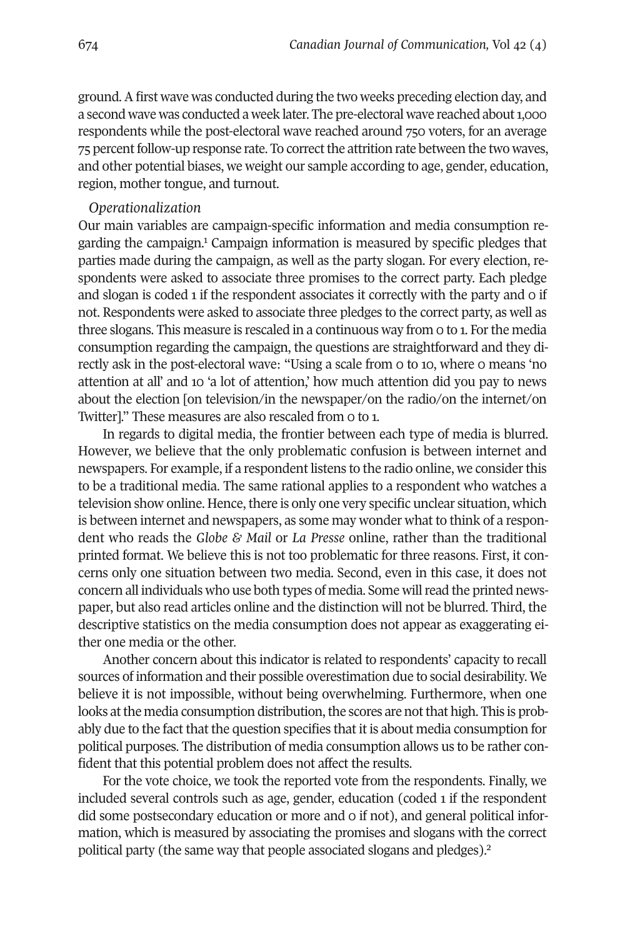ground.Afirst wave was conducted during the two weeks preceding election day, and a second wave was conducted a week later. The pre-electoral wave reached about 1,000 respondents while the post-electoral wave reached around 750 voters, for an average 75 percent follow-up response rate. To correct the attrition rate between the two waves, and other potential biases, we weight our sample according to age, gender, education, region, mother tongue, and turnout.

## *Operationalization*

Our main variables ar[e](#page-10-1) campaign-specific information and media consumption regarding the campaign.<sup>1</sup> Campaign information is measured by specific pledges that parties made during the campaign, as well as the party slogan. For every election, respondents were asked to associate three promises to the correct party. Each pledge and slogan is coded 1 if the respondent associates it correctly with the party and 0 if not. Respondents were asked to associate three pledges to the correct party, as well as three slogans. This measure is rescaled in a continuous way from 0 to 1. Forthe media consumption regarding the campaign, the questions are straightforward and they directly ask in the post-electoral wave: "Using a scale from 0 to 10, where 0 means 'no attention at all' and 10 'a lot of attention,' how much attention did you pay to news about the election [on television/in the newspaper/on the radio/on the internet/on Twitter]." These measures are also rescaled from 0 to 1.

In regards to digital media, the frontier between each type of media is blurred. However, we believe that the only problematic confusion is between internet and newspapers. For example, if a respondent listens to the radio online, we consider this to be a traditional media. The same rational applies to a respondent who watches a television show online. Hence, there is only one very specific unclear situation, which is between internet and newspapers, as some may wonder what to think of a respondent who reads the *Globe & Mail* or *La Presse* online, rather than the traditional printed format. We believe this is not too problematic for three reasons. First, it concerns only one situation between two media. Second, even in this case, it does not concern all individuals who use both types of media. Some willread the printed newspaper, but also read articles online and the distinction will not be blurred. Third, the descriptive statistics on the media consumption does not appear as exaggerating either one media or the other.

Another concern about this indicator is related to respondents' capacity to recall sources of information and their possible overestimation due to social desirability. We believe it is not impossible, without being overwhelming. Furthermore, when one looks at the media consumption distribution, the scores are not that high. This is probably due to the fact that the question specifies that it is about media consumption for political purposes. The distribution of media consumption allows us to be rather confident that this potential problem does not affect the results.

For the vote choice, we took the reported vote from the respondents. Finally, we included several controls such as age, gender, education (coded 1 if the respondent did some postsecondary education or more and 0 if not), and general political information, which is measured by associating the promises and slogans with [th](#page-10-0)e correct political party (the same way that people associated slogans and pledges). 2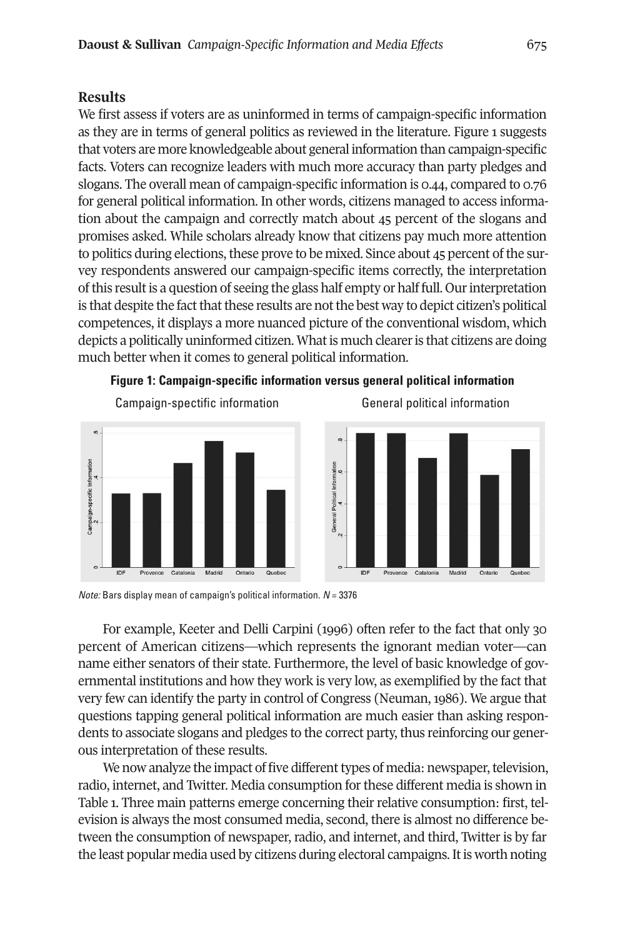## **Results**

We first assess if voters are as uninformed in terms of campaign-specific information as they are in terms of general politics as reviewed in the literature. Figure 1 suggests that voters are more knowledgeable about general information than campaign-specific facts. Voters can recognize leaders with much more accuracy than party pledges and slogans. The overall mean of campaign-specific information is 0.44, compared to 0.76 for general political information. In other words, citizens managed to access information about the campaign and correctly match about 45 percent of the slogans and promises asked. While scholars already know that citizens pay much more attention to politics during elections, these prove to be mixed. Since about 45 percent of the survey respondents answered our campaign-specific items correctly, the interpretation ofthis resultis a question of seeing the glass half empty or half full. Ourinterpretation is that despite the fact that these results are not the best way to depict citizen's political competences, it displays a more nuanced picture of the conventional wisdom, which depicts a politically uninformed citizen. What is much clearer is that citizens are doing much better when it comes to general political information.

**Figure 1: Campaign-specific information versus general political information**







*Note:* Bars display mean of campaign's political information. *N* = 3376

For example, Keeter and Delli Carpini (1996) often refer to the fact that only 30 percent of American citizens—which represents the ignorant median voter—can name either senators of their state. Furthermore, the level of basic knowledge of governmental institutions and how they work is very low, as exemplified by the fact that very few can identify the party in control of Congress (Neuman, 1986). We argue that questions tapping general political information are much easier than asking respondents to associate slogans and pledges to the correct party, thus reinforcing our generous interpretation of these results.

We now analyze the impact of five different types of media: newspaper, television, radio, internet, and Twitter. Media consumption forthese different media is shown in Table 1. Three main patterns emerge concerning their relative consumption: first, television is always the most consumed media, second, there is almost no difference between the consumption of newspaper, radio, and internet, and third, Twitter is by far the least popular media used by citizens during electoral campaigns. It is worth noting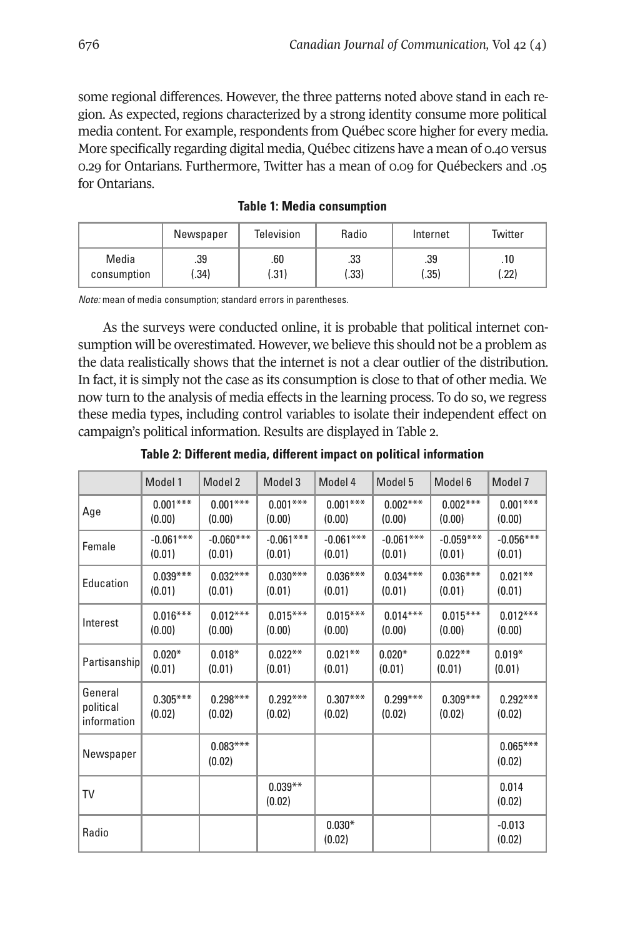some regional differences. However, the three patterns noted above stand in each region. As expected, regions characterized by a strong identity consume more political media content. For example, respondents from Québec score higher for every media. More specifically regarding digital media, Québec citizens have a mean of 0.40 versus 0.29 for Ontarians. Furthermore, Twitter has a mean of 0.09 for Québeckers and .05 for Ontarians.

|             | Newspaper | Television | Radio | Internet | Twitter |
|-------------|-----------|------------|-------|----------|---------|
| Media       | .39       | .60        | .33   | .39      | ٠ιυ     |
| consumption | .34)      | (.31)      | (.33) | (.35)    | (.22)   |

**Table 1: Media consumption**

*Note:* mean of media consumption; standard errors in parentheses.

As the surveys were conducted online, it is probable that political internet consumption will be overestimated. However, we believe this should not be a problem as the data realistically shows that the internet is not a clear outlier of the distribution. In fact, it is simply not the case as its consumption is close to that of other media. We now turn to the analysis of media effects in the learning process. To do so, we regress these media types, including control variables to isolate their independent effect on campaign's political information. Results are displayed in Table 2.

|                                     | Model 1              | Model 2              | Model 3              | Model 4              | Model 5              | Model 6              | Model 7              |
|-------------------------------------|----------------------|----------------------|----------------------|----------------------|----------------------|----------------------|----------------------|
| Age                                 | $0.001***$           | $0.001***$           | $0.001***$           | $0.001***$           | $0.002***$           | $0.002***$           | $0.001***$           |
|                                     | (0.00)               | (0.00)               | (0.00)               | (0.00)               | (0.00)               | (0.00)               | (0.00)               |
| Female                              | $-0.061***$          | $-0.060***$          | $-0.061***$          | $-0.061***$          | $-0.061***$          | $-0.059***$          | $-0.056***$          |
|                                     | (0.01)               | (0.01)               | (0.01)               | (0.01)               | (0.01)               | (0.01)               | (0.01)               |
| Education                           | $0.039***$           | $0.032***$           | $0.030***$           | $0.036***$           | $0.034***$           | $0.036***$           | $0.021***$           |
|                                     | (0.01)               | (0.01)               | (0.01)               | (0.01)               | (0.01)               | (0.01)               | (0.01)               |
| Interest                            | $0.016***$           | $0.012***$           | $0.015***$           | $0.015***$           | $0.014***$           | $0.015***$           | $0.012***$           |
|                                     | (0.00)               | (0.00)               | (0.00)               | (0.00)               | (0.00)               | (0.00)               | (0.00)               |
| Partisanship                        | $0.020*$             | $0.018*$             | $0.022**$            | $0.021**$            | $0.020*$             | $0.022**$            | $0.019*$             |
|                                     | (0.01)               | (0.01)               | (0.01)               | (0.01)               | (0.01)               | (0.01)               | (0.01)               |
| General<br>political<br>information | $0.305***$<br>(0.02) | $0.298***$<br>(0.02) | $0.292***$<br>(0.02) | $0.307***$<br>(0.02) | $0.299***$<br>(0.02) | $0.309***$<br>(0.02) | $0.292***$<br>(0.02) |
| Newspaper                           |                      | $0.083***$<br>(0.02) |                      |                      |                      |                      | $0.065***$<br>(0.02) |
| TV                                  |                      |                      | $0.039**$<br>(0.02)  |                      |                      |                      | 0.014<br>(0.02)      |
| Radio                               |                      |                      |                      | $0.030*$<br>(0.02)   |                      |                      | $-0.013$<br>(0.02)   |

**Table 2: Different media, different impact on political information**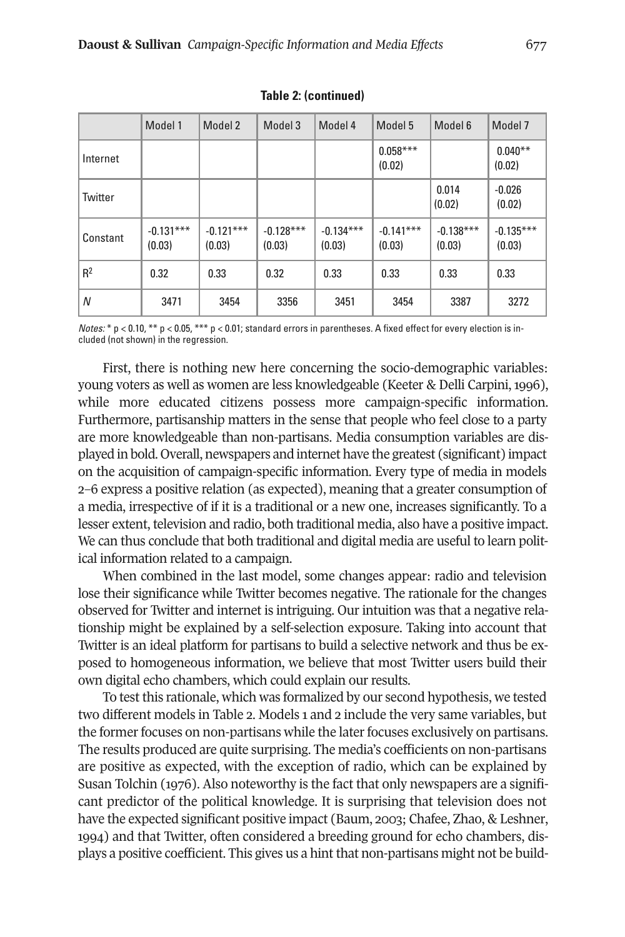|                | Model 1               | Model 2               | Model 3               | Model 4               | Model 5               | Model 6               | Model 7               |
|----------------|-----------------------|-----------------------|-----------------------|-----------------------|-----------------------|-----------------------|-----------------------|
| Internet       |                       |                       |                       |                       | $0.058***$<br>(0.02)  |                       | $0.040**$<br>(0.02)   |
| Twitter        |                       |                       |                       |                       |                       | 0.014<br>(0.02)       | $-0.026$<br>(0.02)    |
| Constant       | $-0.131***$<br>(0.03) | $-0.121***$<br>(0.03) | $-0.128***$<br>(0.03) | $-0.134***$<br>(0.03) | $-0.141***$<br>(0.03) | $-0.138***$<br>(0.03) | $-0.135***$<br>(0.03) |
| R <sup>2</sup> | 0.32                  | 0.33                  | 0.32                  | 0.33                  | 0.33                  | 0.33                  | 0.33                  |
| $\overline{N}$ | 3471                  | 3454                  | 3356                  | 3451                  | 3454                  | 3387                  | 3272                  |

**Table 2: (continued)**

*Notes:* \* p < 0.10, \*\* p < 0.05, \*\*\* p < 0.01; standard errors in parentheses. A fixed effect for every election is included (not shown) in the regression.

First, there is nothing new here concerning the socio-demographic variables: young voters as well as women are less knowledgeable (Keeter & Delli Carpini, 1996), while more educated citizens possess more campaign-specific information. Furthermore, partisanship matters in the sense that people who feel close to a party are more knowledgeable than non-partisans. Media consumption variables are displayed in bold. Overall, newspapers and internet have the greatest (significant) impact on the acquisition of campaign-specific information. Every type of media in models 2–6 express a positive relation (as expected), meaning that a greater consumption of a media, irrespective of if it is a traditional or a new one, increases significantly. To a lesser extent, television and radio, both traditional media, also have a positive impact. We can thus conclude that both traditional and digital media are useful to learn political information related to a campaign.

When combined in the last model, some changes appear: radio and television lose their significance while Twitter becomes negative. The rationale for the changes observed for Twitter and internet is intriguing. Our intuition was that a negative relationship might be explained by a self-selection exposure. Taking into account that Twitter is an ideal platform for partisans to build a selective network and thus be exposed to homogeneous information, we believe that most Twitter users build their own digital echo chambers, which could explain our results.

To test this rationale, which was formalized by our second hypothesis, we tested two different models in Table 2. Models 1 and 2 include the very same variables, but the former focuses on non-partisans while the later focuses exclusively on partisans. The results produced are quite surprising. The media's coefficients on non-partisans are positive as expected, with the exception of radio, which can be explained by Susan Tolchin (1976). Also noteworthy is the fact that only newspapers are a significant predictor of the political knowledge. It is surprising that television does not have the expected significant positive impact (Baum, 2003; Chafee, Zhao, & Leshner, 1994) and that Twitter, often considered a breeding ground for echo chambers, displays a positive coefficient. This gives us a hint that non-partisans might not be build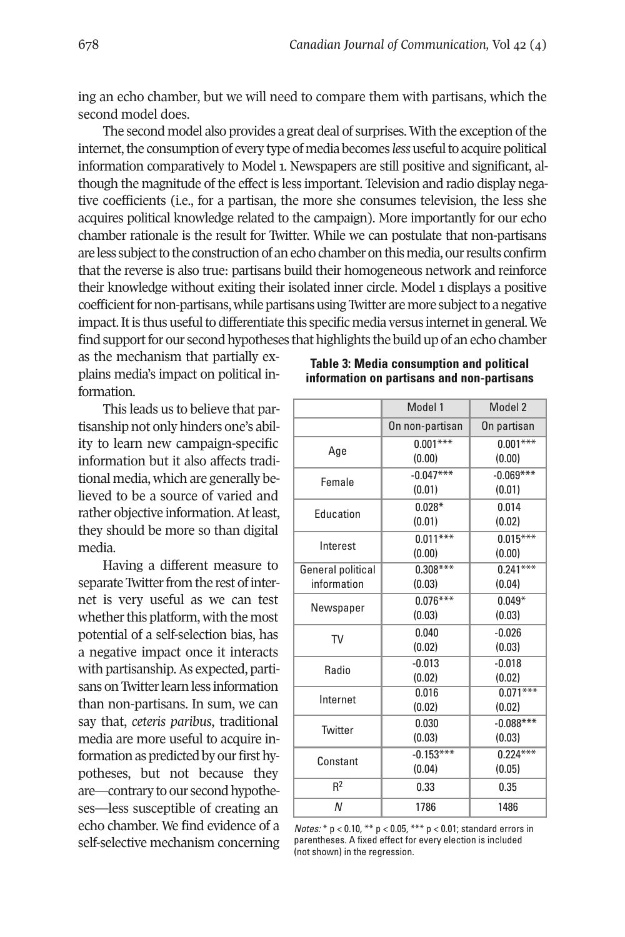ing an echo chamber, but we will need to compare them with partisans, which the second model does.

The second model also provides a great deal of surprises. With the exception of the internet, the consumption of every type of media becomes *less* useful to acquire political information comparatively to Model 1. Newspapers are still positive and significant, although the magnitude of the effect is less important. Television and radio display negative coefficients (i.e., for a partisan, the more she consumes television, the less she acquires political knowledge related to the campaign). More importantly for our echo chamber rationale is the result for Twitter. While we can postulate that non-partisans are less subject to the construction of an echo chamber on this media, our results confirm that the reverse is also true: partisans build their homogeneous network and reinforce their knowledge without exiting their isolated inner circle. Model 1 displays a positive coefficient for non-partisans, while partisans using Twitter are more subject to a negative impact. It is thus useful to differentiate this specific media versus internet in general. We find support for our second hypotheses that highlights the build up of an echo chamber

as the mechanism that partially explains media's impact on political information.

This leads us to believe that partisanship not only hinders one's ability to learn new campaign-specific information but it also affects traditional media, which are generally believed to be a source of varied and rather objective information. At least, they should be more so than digital media.

Having a different measure to separate Twitter from the rest of internet is very useful as we can test whether this platform, with the most potential of a self-selection bias, has a negative impact once it interacts with partisanship. As expected, partisans on Twitter learn less information than non-partisans. In sum, we can say that, *ceteris paribus*, traditional media are more useful to acquire information as predicted by our first hypotheses, but not because they are—contrary to our second hypotheses—less susceptible of creating an echo chamber. We find evidence of a self-selective mechanism concerning

### **Table 3: Media consumption and political information on partisans and non-partisans**

|                   | Model 1         | Model 2     |  |  |
|-------------------|-----------------|-------------|--|--|
|                   | On non-partisan | On partisan |  |  |
|                   | $0.001***$      | $0.001***$  |  |  |
| Age               | (0.00)          | (0.00)      |  |  |
| Female            | $-0.047***$     | $-0.069***$ |  |  |
|                   | (0.01)          | (0.01)      |  |  |
| Education         | $0.028*$        | 0.014       |  |  |
|                   | (0.01)          | (0.02)      |  |  |
| Interest          | $0.011***$      | $0.015***$  |  |  |
|                   | (0.00)          | (0.00)      |  |  |
| General political | $0.308***$      | $0.241***$  |  |  |
| information       | (0.03)          | (0.04)      |  |  |
|                   | $0.076***$      | $0.049*$    |  |  |
| Newspaper         | (0.03)          | (0.03)      |  |  |
| TV                | 0.040           | $-0.026$    |  |  |
|                   | (0.02)          | (0.03)      |  |  |
| Radio             | $-0.013$        | $-0.018$    |  |  |
|                   | (0.02)          | (0.02)      |  |  |
| Internet          | 0.016           | $0.071***$  |  |  |
|                   | (0.02)          | (0.02)      |  |  |
| Twitter           | 0.030           | $-0.088***$ |  |  |
|                   | (0.03)          | (0.03)      |  |  |
| Constant          | $-0.153***$     | $0.224***$  |  |  |
|                   | (0.04)          | (0.05)      |  |  |
| R <sup>2</sup>    | 0.33            | 0.35        |  |  |
| N                 | 1786            | 1486        |  |  |
|                   |                 |             |  |  |

*Notes:* \* p < 0.10, \*\* p < 0.05, \*\*\* p < 0.01; standard errors in parentheses. A fixed effect for every election is included (not shown) in the regression.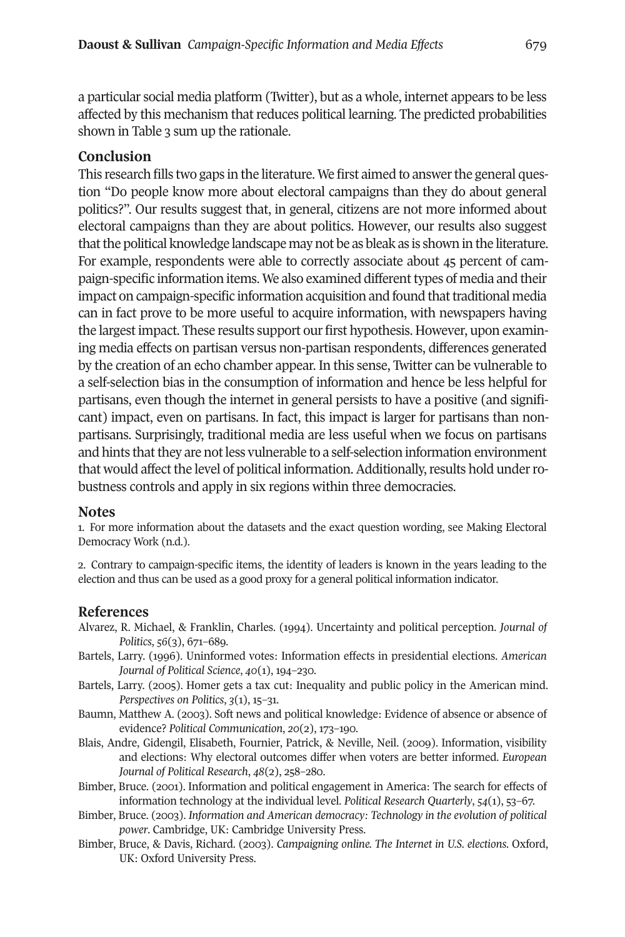a particular social media platform (Twitter), but as a whole, internet appears to be less affected by this mechanism that reduces political learning. The predicted probabilities shown in Table 3 sum up the rationale.

## **Conclusion**

This research fills two gaps in the literature. We first aimed to answer the general question "Do people know more about electoral campaigns than they do about general politics?". Our results suggest that, in general, citizens are not more informed about electoral campaigns than they are about politics. However, our results also suggest that the political knowledge landscape may not be as bleak as is shown in the literature. For example, respondents were able to correctly associate about 45 percent of campaign-specific information items. We also examined different types of media and their impact on campaign-specific information acquisition and found that traditional media can in fact prove to be more useful to acquire information, with newspapers having the largestimpact. These results support our first hypothesis. However, upon examining media effects on partisan versus non-partisan respondents, differences generated by the creation of an echo chamber appear. In this sense, Twitter can be vulnerable to a self-selection bias in the consumption of information and hence be less helpful for partisans, even though the internet in general persists to have a positive (and significant) impact, even on partisans. In fact, this impact is larger for partisans than nonpartisans. Surprisingly, traditional media are less useful when we focus on partisans and hints that they are not less vulnerable to a self-selection information environment that would affect the level of political information. Additionally, results hold under robustness controls and apply in six regions within three democracies.

#### <span id="page-10-1"></span><span id="page-10-0"></span>**Notes**

1. For more information about the datasets and the exact question wording, see Making Electoral Democracy Work (n.d.).

2. Contrary to campaign-specific items, the identity of leaders is known in the years leading to the election and thus can be used as a good proxy for a general political information indicator.

#### **References**

- Alvarez, R. Michael, & Franklin, Charles. (1994). Uncertainty and political perception. *Journal of Politics*, *56*(3), 671–689.
- Bartels, Larry. (1996). Uninformed votes: Information effects in presidential elections. *American Journal of Political Science*, *40*(1), 194–230.
- Bartels, Larry. (2005). Homer gets a tax cut: Inequality and public policy in the American mind. *Perspectives on Politics*, *3*(1), 15–31.
- Baumn, Matthew A. (2003). Soft news and political knowledge: Evidence of absence or absence of evidence? *Political Communication*, *20*(2), 173–190.
- Blais, Andre, Gidengil, Elisabeth, Fournier, Patrick, & Neville, Neil. (2009). Information, visibility and elections: Why electoral outcomes differ when voters are better informed. *European Journal of Political Research*, *48*(2), 258–280.
- Bimber, Bruce. (2001). Information and political engagement in America: The search for effects of information technology at the individual level. *Political Research Quarterly*, *54*(1), 53–67.
- Bimber, Bruce. (2003). *Information and American democracy: Technology in the evolution of political power*. Cambridge, UK: Cambridge University Press.
- Bimber, Bruce, & Davis, Richard. (2003). *Campaigning online. The Internet in U.S. elections*. Oxford, UK: Oxford University Press.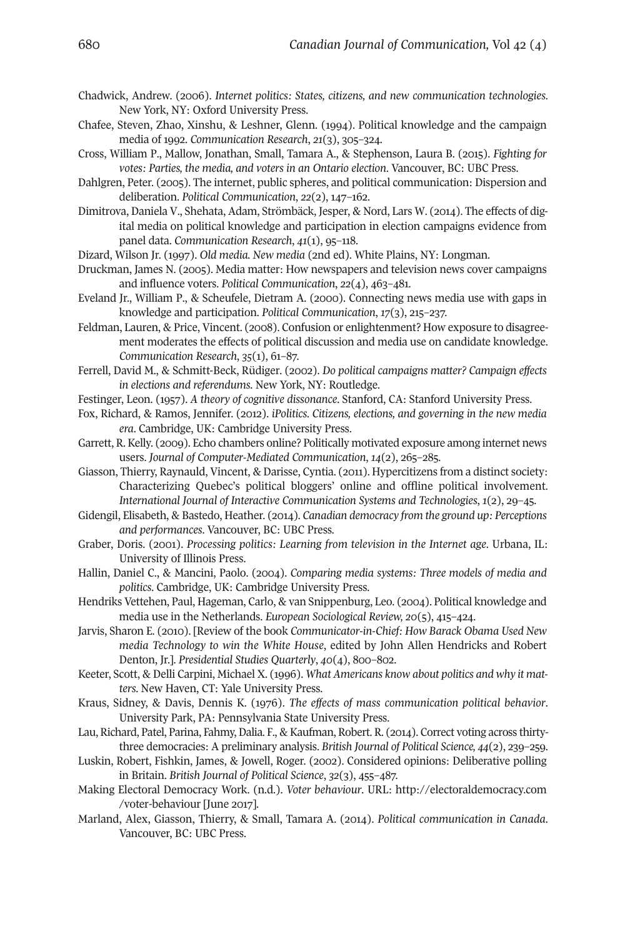- Chadwick, Andrew. (2006). *Internet politics: States, citizens, and new communication technologies*. New York, NY: Oxford University Press.
- Chafee, Steven, Zhao, Xinshu, & Leshner, Glenn. (1994). Political knowledge and the campaign media of 1992. *Communication Research*, *21*(3), 305–324.
- Cross, William P., Mallow, Jonathan, Small, Tamara A., & Stephenson, Laura B. (2015). *Fighting for votes: Parties, the media, and voters in an Ontario election*. Vancouver, BC: UBC Press.
- Dahlgren, Peter. (2005). The internet, public spheres, and political communication: Dispersion and deliberation. *Political Communication*, *22*(2), 147–162.
- Dimitrova, Daniela V., Shehata, Adam, Strömbäck, Jesper, & Nord, Lars W. (2014). The effects of digital media on political knowledge and participation in election campaigns evidence from panel data. *Communication Research*, *41*(1), 95–118.
- Dizard, Wilson Jr. (1997). *Old media. New media* (2nd ed). White Plains, NY: Longman.
- Druckman, James N. (2005). Media matter: How newspapers and television news cover campaigns and influence voters. *Political Communication*, *22*(4), 463–481.
- Eveland Jr., William P., & Scheufele, Dietram A. (2000). Connecting news media use with gaps in knowledge and participation. *Political Communication*, *17*(3), 215–237.
- Feldman, Lauren, & Price, Vincent. (2008). Confusion or enlightenment? How exposure to disagreement moderates the effects of political discussion and media use on candidate knowledge. *Communication Research*, *35*(1), 61–87.
- Ferrell, David M., & Schmitt-Beck, Rüdiger. (2002). *Do political campaigns matter? Campaign effects in elections and referendums*. New York, NY: Routledge.
- Festinger, Leon. (1957). *A theory of cognitive dissonance*. Stanford, CA: Stanford University Press.
- Fox, Richard, & Ramos, Jennifer. (2012). *iPolitics. Citizens, elections, and governing in the new media era*. Cambridge, UK: Cambridge University Press.
- Garrett, R. Kelly. (2009). Echo chambers online? Politically motivated exposure among internet news users. *Journal of Computer-Mediated Communication*, *14*(2), 265–285.
- Giasson, Thierry, Raynauld, Vincent, & Darisse, Cyntia. (2011). Hypercitizens from a distinct society: Characterizing Quebec's political bloggers' online and offline political involvement. *International Journal of Interactive Communication Systems and Technologies*, *1*(2), 29–45.
- Gidengil, Elisabeth, & Bastedo, Heather. (2014)*. Canadian democracy from the ground up: Perceptions and performances*. Vancouver, BC: UBC Press*.*
- Graber, Doris. (2001). *Processing politics: Learning from television in the Internet age*. Urbana, IL: University of Illinois Press.
- Hallin, Daniel C., & Mancini, Paolo. (2004). *Comparing media systems: Three models of media and politics*. Cambridge, UK: Cambridge University Press.
- Hendriks Vettehen, Paul, Hageman, Carlo, & van Snippenburg, Leo. (2004). Political knowledge and media use in the Netherlands. *European Sociological Review, 20*(5), 415–424.
- Jarvis, Sharon E. (2010). [Review of the book *Communicator-in-Chief: How Barack Obama Used New media Technology to win the White House*, edited by John Allen Hendricks and Robert Denton, Jr.]. *Presidential Studies Quarterly*, *40*(4), 800–802.
- Keeter, Scott, & Delli Carpini, Michael X. (1996). *What Americans know about politics and why it matters*. New Haven, CT: Yale University Press.
- Kraus, Sidney, & Davis, Dennis K. (1976). *The effects of mass communication political behavior*. University Park, PA: Pennsylvania State University Press.
- Lau, Richard, Patel, Parina, Fahmy, Dalia. F., & Kaufman, Robert. R. (2014). Correct voting across thirtythree democracies: A preliminary analysis. *British Journal of Political Science, 44*(2), 239–259.
- Luskin, Robert, Fishkin, James, & Jowell, Roger. (2002). Considered opinions: Deliberative polling in Britain. *British Journal of Political Science*, *32*(3), 455–487.
- Making Electoral Democracy Work. (n.d.). *Voter behaviour*. URL: [http://electoraldemocracy.com](http://electoraldemocracy.com/voter-behaviour) [/voter-behaviour](http://electoraldemocracy.com/voter-behaviour) [June 2017].
- Marland, Alex, Giasson, Thierry, & Small, Tamara A. (2014). *Political communication in Canada*. Vancouver, BC: UBC Press.